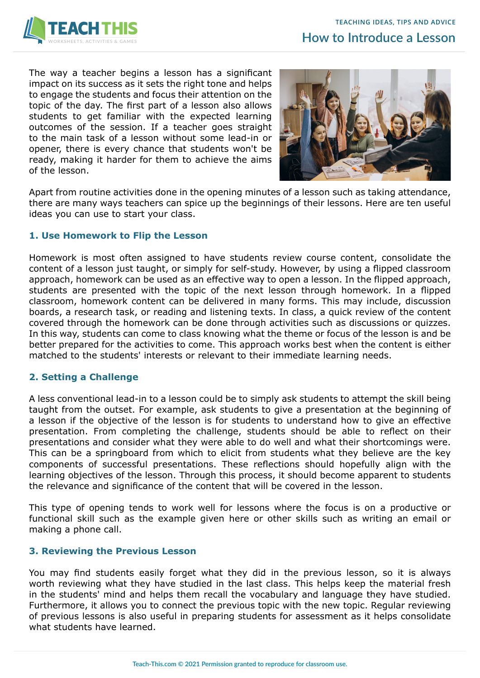

The way a teacher begins a lesson has a significant impact on its success as it sets the right tone and helps to engage the students and focus their attention on the topic of the day. The first part of a lesson also allows students to get familiar with the expected learning outcomes of the session. If a teacher goes straight to the main task of a lesson without some lead-in or opener, there is every chance that students won't be ready, making it harder for them to achieve the aims of the lesson.



Apart from routine activities done in the opening minutes of a lesson such as taking attendance, there are many ways teachers can spice up the beginnings of their lessons. Here are ten useful ideas you can use to start your class.

# **1. Use Homework to Flip the Lesson**

Homework is most often assigned to have students review course content, consolidate the content of a lesson just taught, or simply for self-study. However, by using a flipped classroom approach, homework can be used as an effective way to open a lesson. In the flipped approach, students are presented with the topic of the next lesson through homework. In a flipped classroom, homework content can be delivered in many forms. This may include, discussion boards, a research task, or reading and listening texts. In class, a quick review of the content covered through the homework can be done through activities such as discussions or quizzes. In this way, students can come to class knowing what the theme or focus of the lesson is and be better prepared for the activities to come. This approach works best when the content is either matched to the students' interests or relevant to their immediate learning needs.

# **2. Setting a Challenge**

A less conventional lead-in to a lesson could be to simply ask students to attempt the skill being taught from the outset. For example, ask students to give a presentation at the beginning of a lesson if the objective of the lesson is for students to understand how to give an effective presentation. From completing the challenge, students should be able to reflect on their presentations and consider what they were able to do well and what their shortcomings were. This can be a springboard from which to elicit from students what they believe are the key components of successful presentations. These reflections should hopefully align with the learning objectives of the lesson. Through this process, it should become apparent to students the relevance and significance of the content that will be covered in the lesson.

This type of opening tends to work well for lessons where the focus is on a productive or functional skill such as the example given here or other skills such as writing an email or making a phone call.

# **3. Reviewing the Previous Lesson**

You may find students easily forget what they did in the previous lesson, so it is always worth reviewing what they have studied in the last class. This helps keep the material fresh in the students' mind and helps them recall the vocabulary and language they have studied. Furthermore, it allows you to connect the previous topic with the new topic. Regular reviewing of previous lessons is also useful in preparing students for assessment as it helps consolidate what students have learned.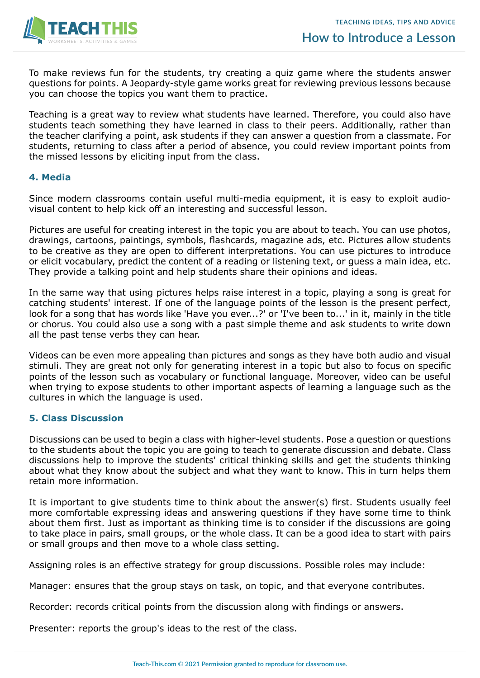

To make reviews fun for the students, try creating a quiz game where the students answer questions for points. A Jeopardy-style game works great for reviewing previous lessons because you can choose the topics you want them to practice.

Teaching is a great way to review what students have learned. Therefore, you could also have students teach something they have learned in class to their peers. Additionally, rather than the teacher clarifying a point, ask students if they can answer a question from a classmate. For students, returning to class after a period of absence, you could review important points from the missed lessons by eliciting input from the class.

### **4. Media**

Since modern classrooms contain useful multi-media equipment, it is easy to exploit audiovisual content to help kick off an interesting and successful lesson.

Pictures are useful for creating interest in the topic you are about to teach. You can use photos, drawings, cartoons, paintings, symbols, flashcards, magazine ads, etc. Pictures allow students to be creative as they are open to different interpretations. You can use pictures to introduce or elicit vocabulary, predict the content of a reading or listening text, or guess a main idea, etc. They provide a talking point and help students share their opinions and ideas.

In the same way that using pictures helps raise interest in a topic, playing a song is great for catching students' interest. If one of the language points of the lesson is the present perfect, look for a song that has words like 'Have you ever...?' or 'I've been to...' in it, mainly in the title or chorus. You could also use a song with a past simple theme and ask students to write down all the past tense verbs they can hear.

Videos can be even more appealing than pictures and songs as they have both audio and visual stimuli. They are great not only for generating interest in a topic but also to focus on specific points of the lesson such as vocabulary or functional language. Moreover, video can be useful when trying to expose students to other important aspects of learning a language such as the cultures in which the language is used.

### **5. Class Discussion**

Discussions can be used to begin a class with higher-level students. Pose a question or questions to the students about the topic you are going to teach to generate discussion and debate. Class discussions help to improve the students' critical thinking skills and get the students thinking about what they know about the subject and what they want to know. This in turn helps them retain more information.

It is important to give students time to think about the answer(s) first. Students usually feel more comfortable expressing ideas and answering questions if they have some time to think about them first. Just as important as thinking time is to consider if the discussions are going to take place in pairs, small groups, or the whole class. It can be a good idea to start with pairs or small groups and then move to a whole class setting.

Assigning roles is an effective strategy for group discussions. Possible roles may include:

Manager: ensures that the group stays on task, on topic, and that everyone contributes.

Recorder: records critical points from the discussion along with findings or answers.

Presenter: reports the group's ideas to the rest of the class.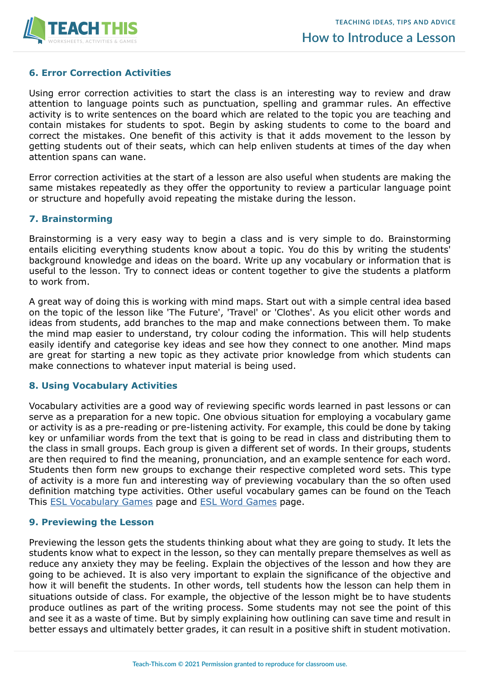

# **6. Error Correction Activities**

Using error correction activities to start the class is an interesting way to review and draw attention to language points such as punctuation, spelling and grammar rules. An effective activity is to write sentences on the board which are related to the topic you are teaching and contain mistakes for students to spot. Begin by asking students to come to the board and correct the mistakes. One benefit of this activity is that it adds movement to the lesson by getting students out of their seats, which can help enliven students at times of the day when attention spans can wane.

Error correction activities at the start of a lesson are also useful when students are making the same mistakes repeatedly as they offer the opportunity to review a particular language point or structure and hopefully avoid repeating the mistake during the lesson.

## **7. Brainstorming**

Brainstorming is a very easy way to begin a class and is very simple to do. Brainstorming entails eliciting everything students know about a topic. You do this by writing the students' background knowledge and ideas on the board. Write up any vocabulary or information that is useful to the lesson. Try to connect ideas or content together to give the students a platform to work from.

A great way of doing this is working with mind maps. Start out with a simple central idea based on the topic of the lesson like 'The Future', 'Travel' or 'Clothes'. As you elicit other words and ideas from students, add branches to the map and make connections between them. To make the mind map easier to understand, try colour coding the information. This will help students easily identify and categorise key ideas and see how they connect to one another. Mind maps are great for starting a new topic as they activate prior knowledge from which students can make connections to whatever input material is being used.

### **8. Using Vocabulary Activities**

Vocabulary activities are a good way of reviewing specific words learned in past lessons or can serve as a preparation for a new topic. One obvious situation for employing a vocabulary game or activity is as a pre-reading or pre-listening activity. For example, this could be done by taking key or unfamiliar words from the text that is going to be read in class and distributing them to the class in small groups. Each group is given a different set of words. In their groups, students are then required to find the meaning, pronunciation, and an example sentence for each word. Students then form new groups to exchange their respective completed word sets. This type of activity is a more fun and interesting way of previewing vocabulary than the so often used definition matching type activities. Other useful vocabulary games can be found on the Teach This [ESL Vocabulary Games](https://www.teach-this.com/esl-games/vocabulary-games) page and [ESL Word Games](https://www.teach-this.com/esl-games/word-games) page.

### **9. Previewing the Lesson**

Previewing the lesson gets the students thinking about what they are going to study. It lets the students know what to expect in the lesson, so they can mentally prepare themselves as well as reduce any anxiety they may be feeling. Explain the objectives of the lesson and how they are going to be achieved. It is also very important to explain the significance of the objective and how it will benefit the students. In other words, tell students how the lesson can help them in situations outside of class. For example, the objective of the lesson might be to have students produce outlines as part of the writing process. Some students may not see the point of this and see it as a waste of time. But by simply explaining how outlining can save time and result in better essays and ultimately better grades, it can result in a positive shift in student motivation.